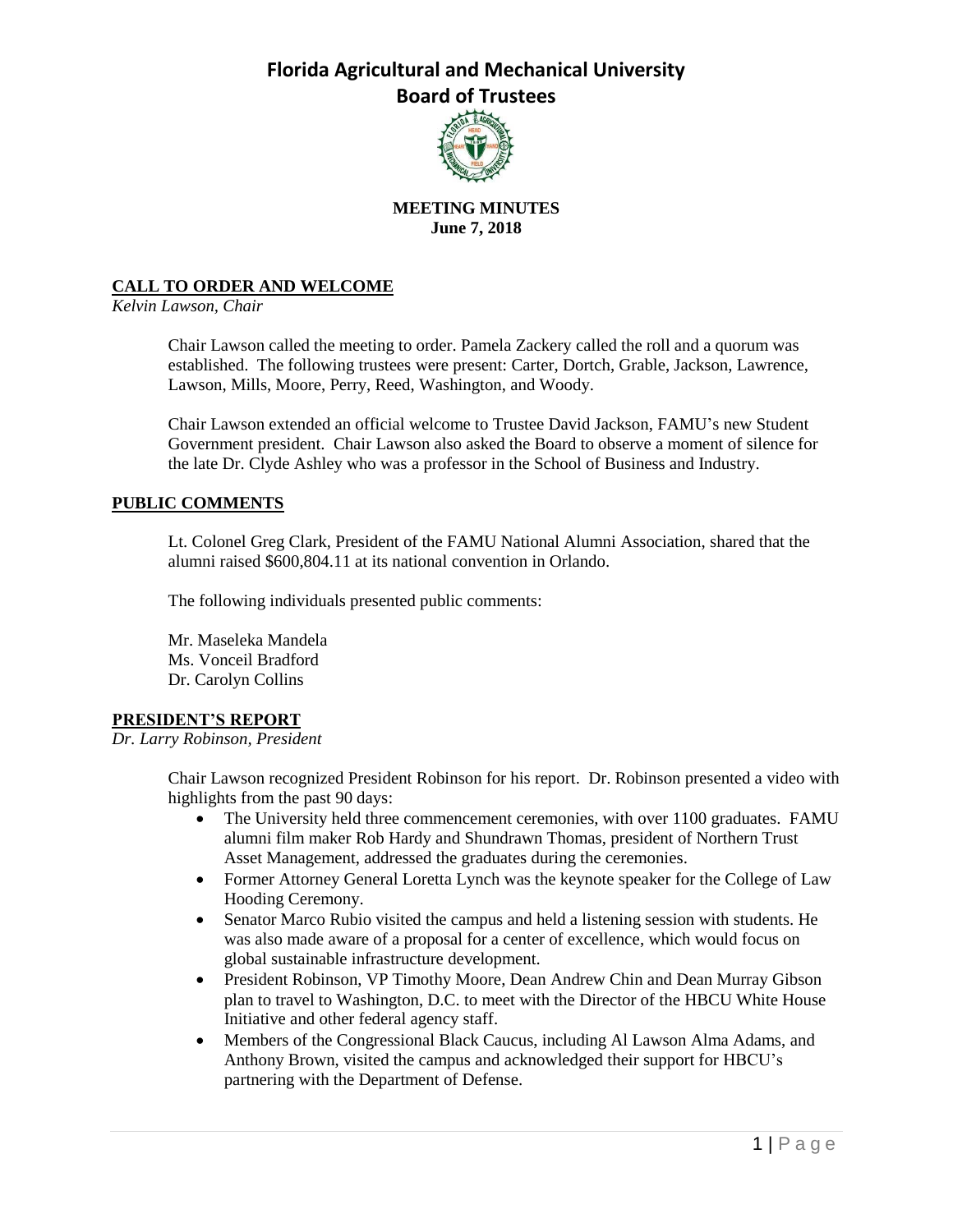

## **MEETING MINUTES June 7, 2018**

## **CALL TO ORDER AND WELCOME**

*Kelvin Lawson, Chair*

Chair Lawson called the meeting to order. Pamela Zackery called the roll and a quorum was established. The following trustees were present: Carter, Dortch, Grable, Jackson, Lawrence, Lawson, Mills, Moore, Perry, Reed, Washington, and Woody.

Chair Lawson extended an official welcome to Trustee David Jackson, FAMU's new Student Government president. Chair Lawson also asked the Board to observe a moment of silence for the late Dr. Clyde Ashley who was a professor in the School of Business and Industry.

### **PUBLIC COMMENTS**

Lt. Colonel Greg Clark, President of the FAMU National Alumni Association, shared that the alumni raised \$600,804.11 at its national convention in Orlando.

The following individuals presented public comments:

Mr. Maseleka Mandela Ms. Vonceil Bradford Dr. Carolyn Collins

### **PRESIDENT'S REPORT**

*Dr. Larry Robinson, President*

Chair Lawson recognized President Robinson for his report. Dr. Robinson presented a video with highlights from the past 90 days:

- The University held three commencement ceremonies, with over 1100 graduates. FAMU alumni film maker Rob Hardy and Shundrawn Thomas, president of Northern Trust Asset Management, addressed the graduates during the ceremonies.
- Former Attorney General Loretta Lynch was the keynote speaker for the College of Law Hooding Ceremony.
- Senator Marco Rubio visited the campus and held a listening session with students. He was also made aware of a proposal for a center of excellence, which would focus on global sustainable infrastructure development.
- President Robinson, VP Timothy Moore, Dean Andrew Chin and Dean Murray Gibson plan to travel to Washington, D.C. to meet with the Director of the HBCU White House Initiative and other federal agency staff.
- Members of the Congressional Black Caucus, including Al Lawson Alma Adams, and Anthony Brown, visited the campus and acknowledged their support for HBCU's partnering with the Department of Defense.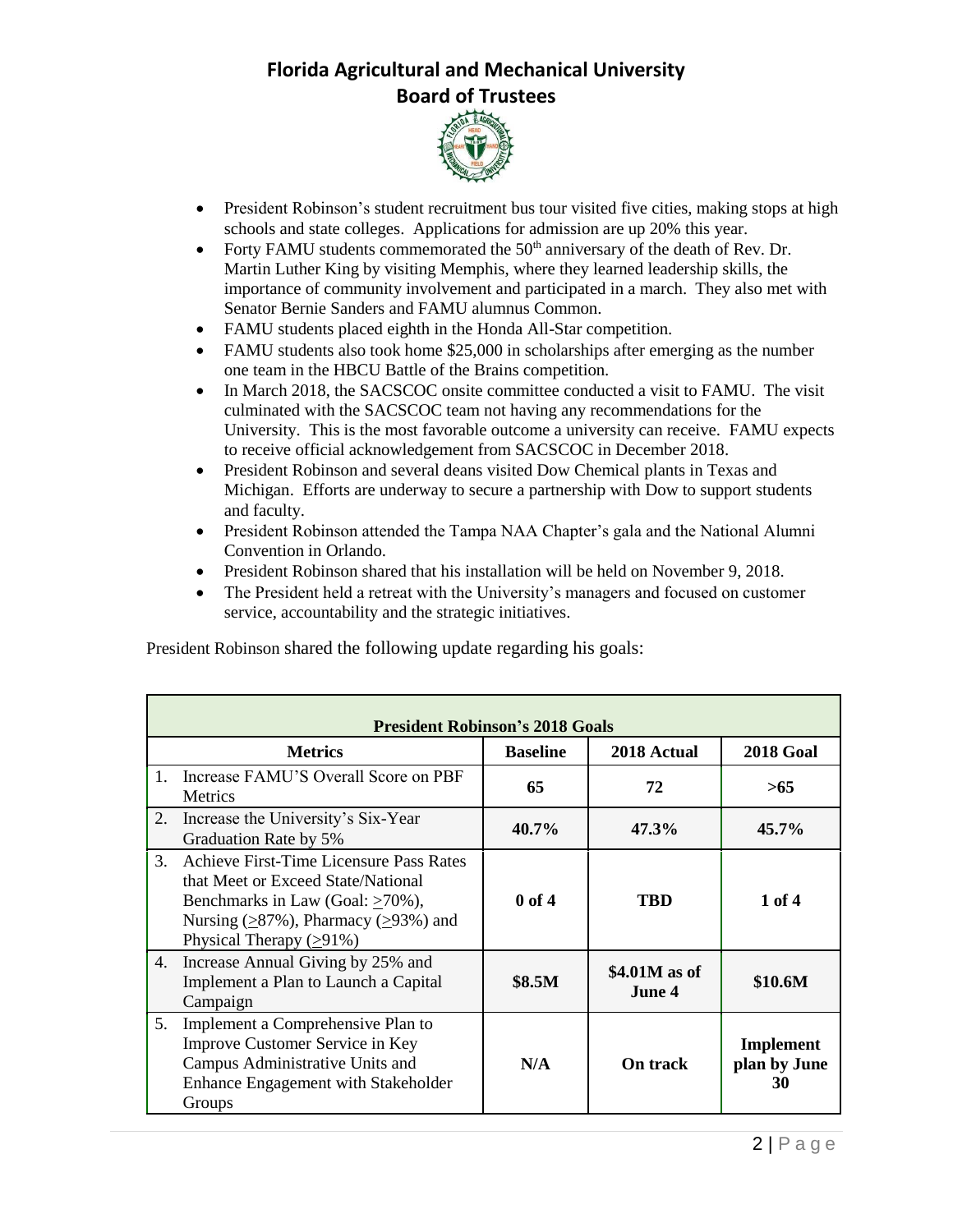

- President Robinson's student recruitment bus tour visited five cities, making stops at high schools and state colleges. Applications for admission are up 20% this year.
- Forty FAMU students commemorated the  $50<sup>th</sup>$  anniversary of the death of Rev. Dr. Martin Luther King by visiting Memphis, where they learned leadership skills, the importance of community involvement and participated in a march. They also met with Senator Bernie Sanders and FAMU alumnus Common.
- FAMU students placed eighth in the Honda All-Star competition.
- FAMU students also took home \$25,000 in scholarships after emerging as the number one team in the HBCU Battle of the Brains competition.
- In March 2018, the SACSCOC onsite committee conducted a visit to FAMU. The visit culminated with the SACSCOC team not having any recommendations for the University. This is the most favorable outcome a university can receive. FAMU expects to receive official acknowledgement from SACSCOC in December 2018.
- President Robinson and several deans visited Dow Chemical plants in Texas and Michigan. Efforts are underway to secure a partnership with Dow to support students and faculty.
- President Robinson attended the Tampa NAA Chapter's gala and the National Alumni Convention in Orlando.
- President Robinson shared that his installation will be held on November 9, 2018.
- The President held a retreat with the University's managers and focused on customer service, accountability and the strategic initiatives.

President Robinson shared the following update regarding his goals:

| <b>President Robinson's 2018 Goals</b> |                                                                                                                                                                                                 |                 |                         |                                 |  |
|----------------------------------------|-------------------------------------------------------------------------------------------------------------------------------------------------------------------------------------------------|-----------------|-------------------------|---------------------------------|--|
|                                        | <b>Metrics</b>                                                                                                                                                                                  | <b>Baseline</b> | 2018 Actual             | <b>2018 Goal</b>                |  |
| 1.                                     | Increase FAMU'S Overall Score on PBF<br><b>Metrics</b>                                                                                                                                          | 65              | 72                      | >65                             |  |
| 2.                                     | Increase the University's Six-Year<br>Graduation Rate by 5%                                                                                                                                     | 40.7%           | 47.3%                   | $45.7\%$                        |  |
| 3.                                     | Achieve First-Time Licensure Pass Rates<br>that Meet or Exceed State/National<br>Benchmarks in Law (Goal: >70%),<br>Nursing $(≥87%)$ , Pharmacy $(≥93%)$ and<br>Physical Therapy $( \geq 91\%)$ | $0$ of 4        | TBD                     | 1 of $4$                        |  |
| 4.                                     | Increase Annual Giving by 25% and<br>Implement a Plan to Launch a Capital<br>Campaign                                                                                                           | <b>\$8.5M</b>   | \$4.01M as of<br>June 4 | \$10.6M                         |  |
| 5.                                     | Implement a Comprehensive Plan to<br>Improve Customer Service in Key<br>Campus Administrative Units and<br>Enhance Engagement with Stakeholder<br>Groups                                        | N/A             | <b>On track</b>         | Implement<br>plan by June<br>30 |  |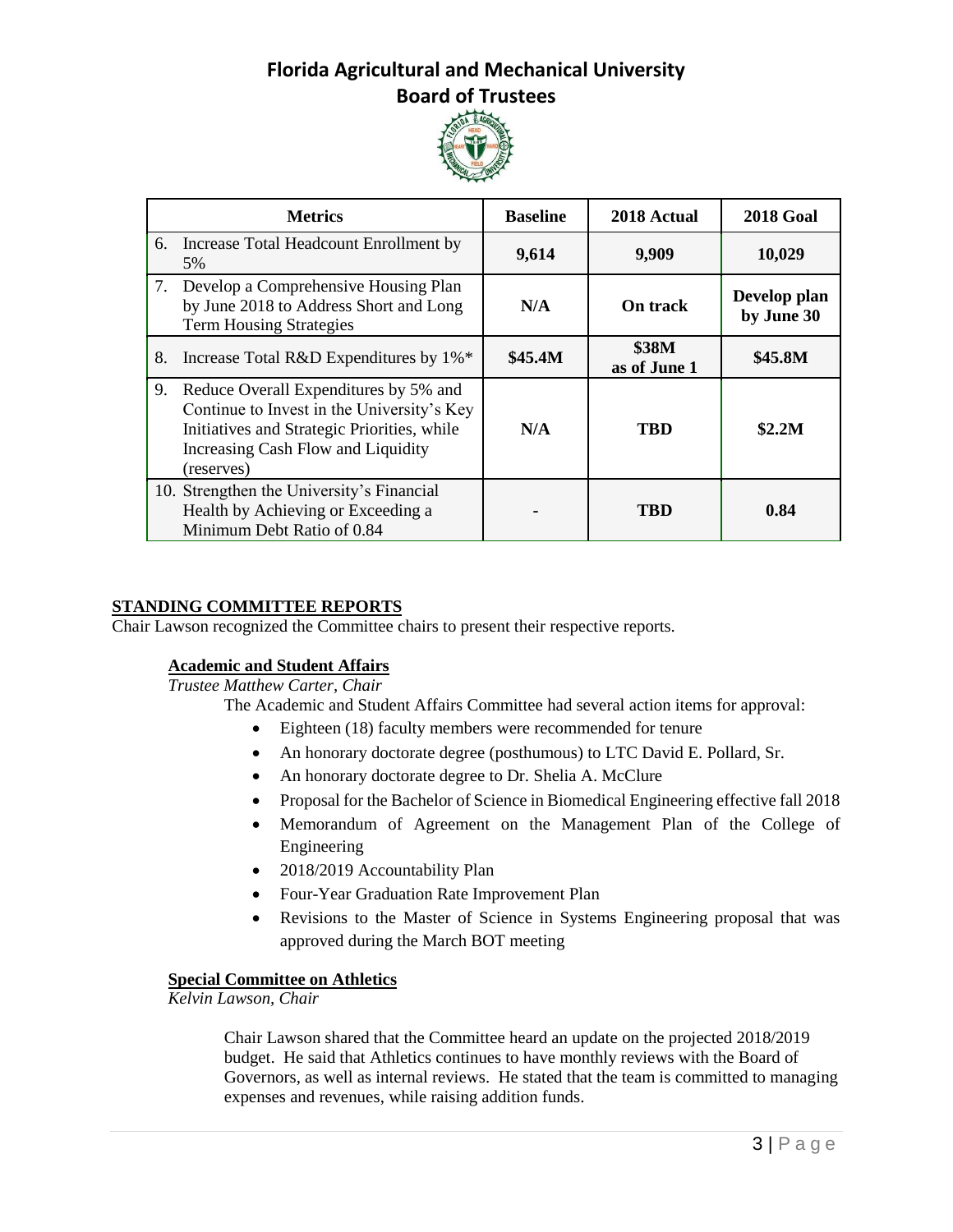

|    | <b>Metrics</b>                                                                                                                                                                         | <b>Baseline</b> | 2018 Actual           | <b>2018 Goal</b>           |
|----|----------------------------------------------------------------------------------------------------------------------------------------------------------------------------------------|-----------------|-----------------------|----------------------------|
|    | 6. Increase Total Headcount Enrollment by<br>5%                                                                                                                                        | 9,614           | 9,909                 | 10,029                     |
|    | 7. Develop a Comprehensive Housing Plan<br>by June 2018 to Address Short and Long<br><b>Term Housing Strategies</b>                                                                    | N/A             | <b>On track</b>       | Develop plan<br>by June 30 |
| 8. | Increase Total R&D Expenditures by 1%*                                                                                                                                                 | \$45.4M         | \$38M<br>as of June 1 | \$45.8M                    |
| 9. | Reduce Overall Expenditures by 5% and<br>Continue to Invest in the University's Key<br>Initiatives and Strategic Priorities, while<br>Increasing Cash Flow and Liquidity<br>(reserves) | N/A             | TBD                   | \$2.2M                     |
|    | 10. Strengthen the University's Financial<br>Health by Achieving or Exceeding a<br>Minimum Debt Ratio of 0.84                                                                          |                 | TBD                   | 0.84                       |

## **STANDING COMMITTEE REPORTS**

Chair Lawson recognized the Committee chairs to present their respective reports.

### **Academic and Student Affairs**

*Trustee Matthew Carter, Chair*

The Academic and Student Affairs Committee had several action items for approval:

- Eighteen (18) faculty members were recommended for tenure
- An honorary doctorate degree (posthumous) to LTC David E. Pollard, Sr.
- An honorary doctorate degree to Dr. Shelia A. McClure
- Proposal for the Bachelor of Science in Biomedical Engineering effective fall 2018
- Memorandum of Agreement on the Management Plan of the College of Engineering
- 2018/2019 Accountability Plan
- Four-Year Graduation Rate Improvement Plan
- Revisions to the Master of Science in Systems Engineering proposal that was approved during the March BOT meeting

## **Special Committee on Athletics**

*Kelvin Lawson, Chair*

Chair Lawson shared that the Committee heard an update on the projected 2018/2019 budget. He said that Athletics continues to have monthly reviews with the Board of Governors, as well as internal reviews. He stated that the team is committed to managing expenses and revenues, while raising addition funds.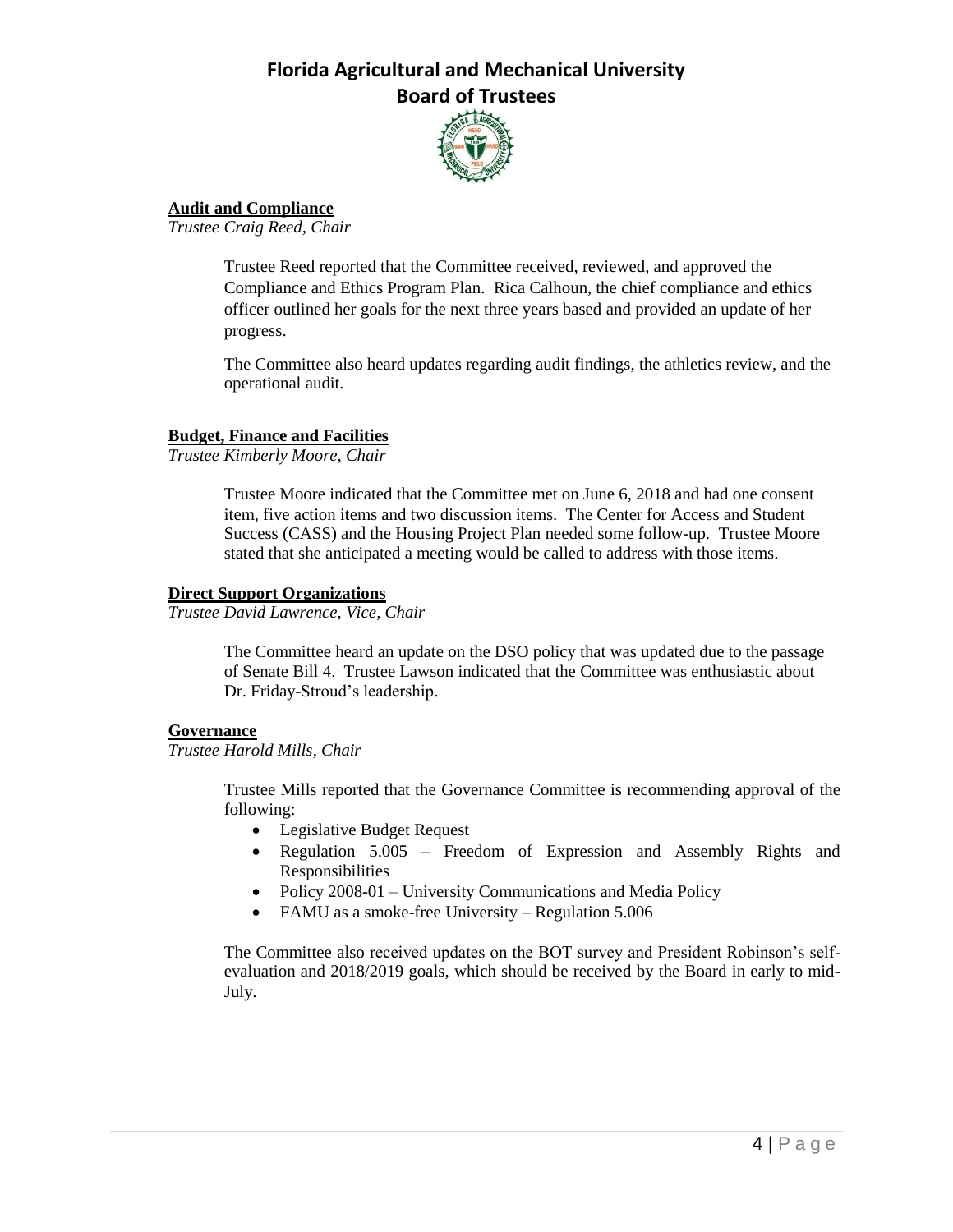

## **Audit and Compliance**

*Trustee Craig Reed, Chair*

Trustee Reed reported that the Committee received, reviewed, and approved the Compliance and Ethics Program Plan. Rica Calhoun, the chief compliance and ethics officer outlined her goals for the next three years based and provided an update of her progress.

The Committee also heard updates regarding audit findings, the athletics review, and the operational audit.

### **Budget, Finance and Facilities**

*Trustee Kimberly Moore, Chair*

Trustee Moore indicated that the Committee met on June 6, 2018 and had one consent item, five action items and two discussion items. The Center for Access and Student Success (CASS) and the Housing Project Plan needed some follow-up. Trustee Moore stated that she anticipated a meeting would be called to address with those items.

### **Direct Support Organizations**

*Trustee David Lawrence, Vice, Chair*

The Committee heard an update on the DSO policy that was updated due to the passage of Senate Bill 4. Trustee Lawson indicated that the Committee was enthusiastic about Dr. Friday-Stroud's leadership.

### **Governance**

*Trustee Harold Mills, Chair*

Trustee Mills reported that the Governance Committee is recommending approval of the following:

- Legislative Budget Request
- Regulation 5.005 Freedom of Expression and Assembly Rights and Responsibilities
- Policy 2008-01 University Communications and Media Policy
- FAMU as a smoke-free University Regulation 5.006

The Committee also received updates on the BOT survey and President Robinson's selfevaluation and 2018/2019 goals, which should be received by the Board in early to mid-July.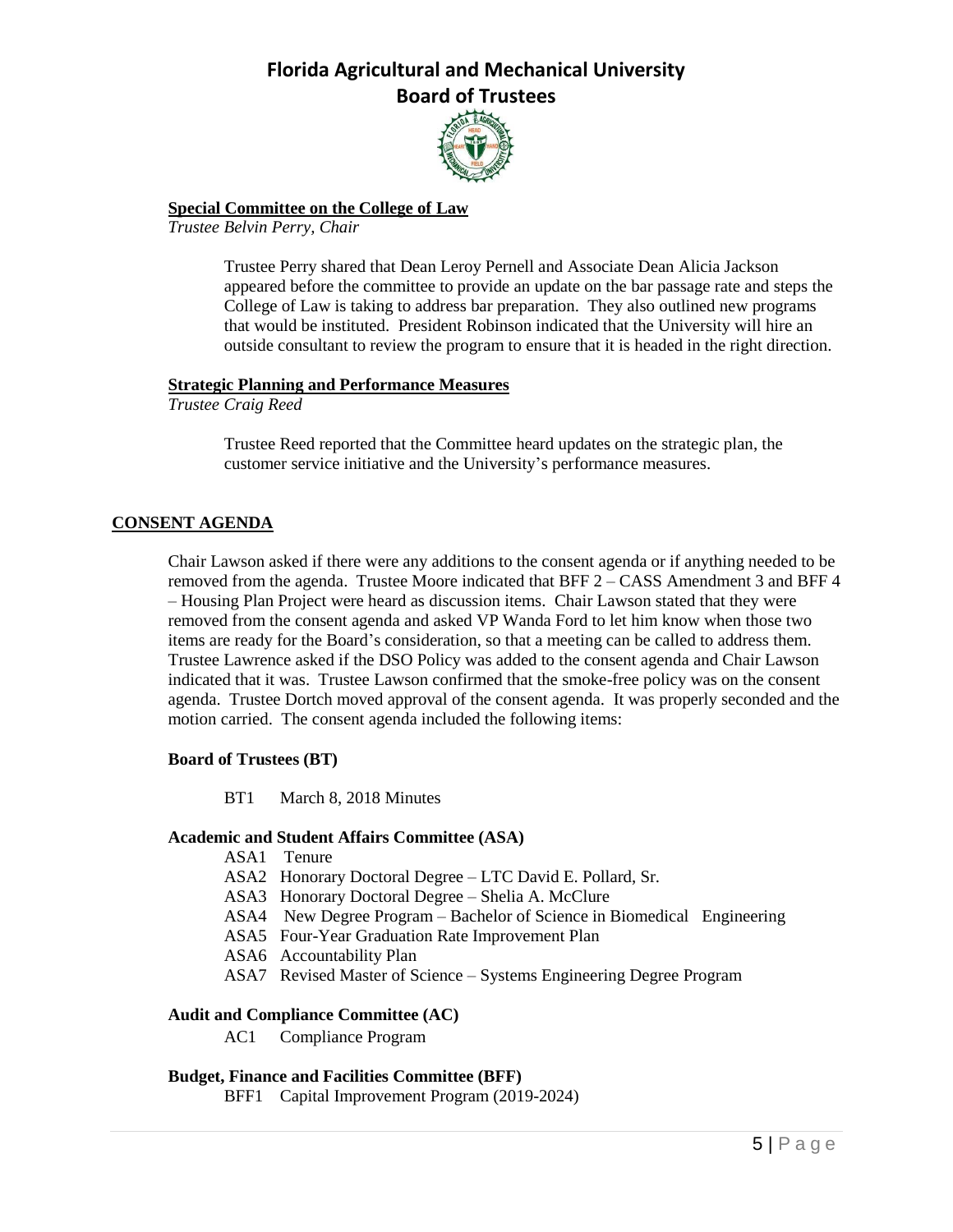

## **Special Committee on the College of Law**

*Trustee Belvin Perry, Chair*

Trustee Perry shared that Dean Leroy Pernell and Associate Dean Alicia Jackson appeared before the committee to provide an update on the bar passage rate and steps the College of Law is taking to address bar preparation. They also outlined new programs that would be instituted. President Robinson indicated that the University will hire an outside consultant to review the program to ensure that it is headed in the right direction.

## **Strategic Planning and Performance Measures**

*Trustee Craig Reed*

Trustee Reed reported that the Committee heard updates on the strategic plan, the customer service initiative and the University's performance measures.

## **CONSENT AGENDA**

Chair Lawson asked if there were any additions to the consent agenda or if anything needed to be removed from the agenda. Trustee Moore indicated that BFF 2 – CASS Amendment 3 and BFF 4 – Housing Plan Project were heard as discussion items. Chair Lawson stated that they were removed from the consent agenda and asked VP Wanda Ford to let him know when those two items are ready for the Board's consideration, so that a meeting can be called to address them. Trustee Lawrence asked if the DSO Policy was added to the consent agenda and Chair Lawson indicated that it was. Trustee Lawson confirmed that the smoke-free policy was on the consent agenda. Trustee Dortch moved approval of the consent agenda. It was properly seconded and the motion carried. The consent agenda included the following items:

### **Board of Trustees (BT)**

BT1 March 8, 2018 Minutes

### **Academic and Student Affairs Committee (ASA)**

- ASA1 Tenure
- ASA2 Honorary Doctoral Degree LTC David E. Pollard, Sr.
- ASA3 Honorary Doctoral Degree Shelia A. McClure
- ASA4 New Degree Program Bachelor of Science in Biomedical Engineering
- ASA5 Four-Year Graduation Rate Improvement Plan
- ASA6 Accountability Plan
- ASA7 Revised Master of Science Systems Engineering Degree Program

### **Audit and Compliance Committee (AC)**

AC1 Compliance Program

## **Budget, Finance and Facilities Committee (BFF)**

BFF1 Capital Improvement Program (2019-2024)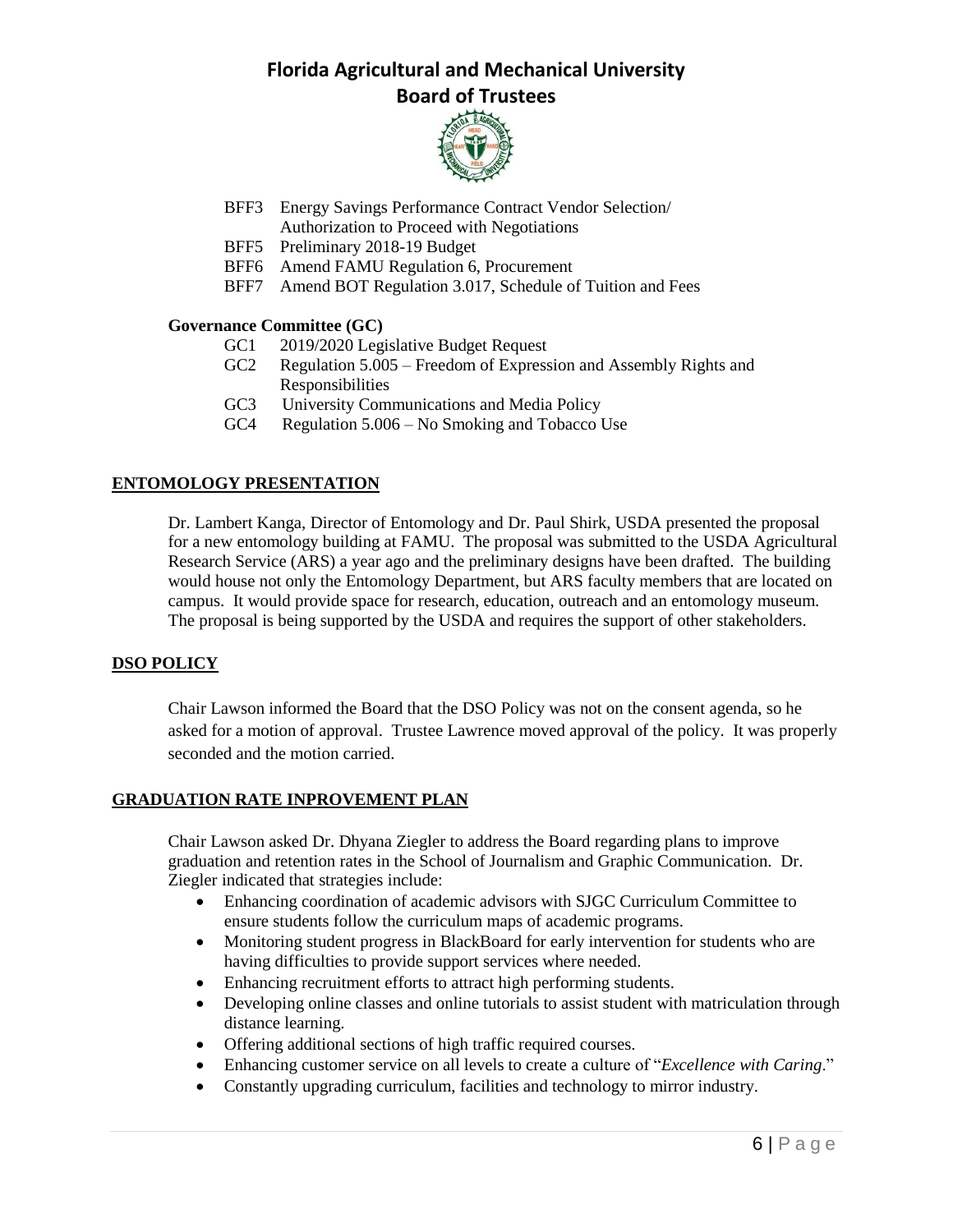

- BFF3 Energy Savings Performance Contract Vendor Selection/ Authorization to Proceed with Negotiations
- BFF5 Preliminary 2018-19 Budget
- BFF6 Amend FAMU Regulation 6, Procurement
- BFF7 Amend BOT Regulation 3.017, Schedule of Tuition and Fees

## **Governance Committee (GC)**

- GC1 2019/2020 Legislative Budget Request
- GC2 Regulation 5.005 Freedom of Expression and Assembly Rights and Responsibilities
- GC3 University Communications and Media Policy
- GC4 Regulation 5.006 No Smoking and Tobacco Use

## **ENTOMOLOGY PRESENTATION**

Dr. Lambert Kanga, Director of Entomology and Dr. Paul Shirk, USDA presented the proposal for a new entomology building at FAMU. The proposal was submitted to the USDA Agricultural Research Service (ARS) a year ago and the preliminary designs have been drafted. The building would house not only the Entomology Department, but ARS faculty members that are located on campus. It would provide space for research, education, outreach and an entomology museum. The proposal is being supported by the USDA and requires the support of other stakeholders.

## **DSO POLICY**

Chair Lawson informed the Board that the DSO Policy was not on the consent agenda, so he asked for a motion of approval. Trustee Lawrence moved approval of the policy. It was properly seconded and the motion carried.

### **GRADUATION RATE INPROVEMENT PLAN**

Chair Lawson asked Dr. Dhyana Ziegler to address the Board regarding plans to improve graduation and retention rates in the School of Journalism and Graphic Communication. Dr. Ziegler indicated that strategies include:

- Enhancing coordination of academic advisors with SJGC Curriculum Committee to ensure students follow the curriculum maps of academic programs.
- Monitoring student progress in BlackBoard for early intervention for students who are having difficulties to provide support services where needed.
- Enhancing recruitment efforts to attract high performing students.
- Developing online classes and online tutorials to assist student with matriculation through distance learning.
- Offering additional sections of high traffic required courses.
- Enhancing customer service on all levels to create a culture of "*Excellence with Caring*."
- Constantly upgrading curriculum, facilities and technology to mirror industry.